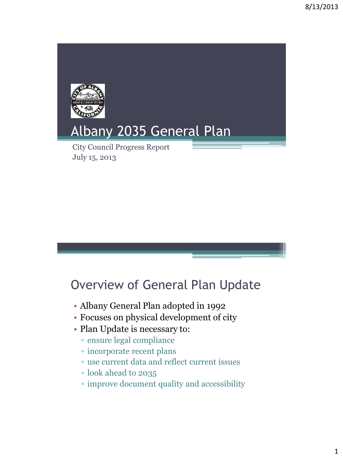

# Overview of General Plan Update

- Albany General Plan adopted in 1992
- Focuses on physical development of city
- Plan Update is necessary to:
	- ensure legal compliance
	- incorporate recent plans
	- use current data and reflect current issues
	- look ahead to 2035
	- improve document quality and accessibility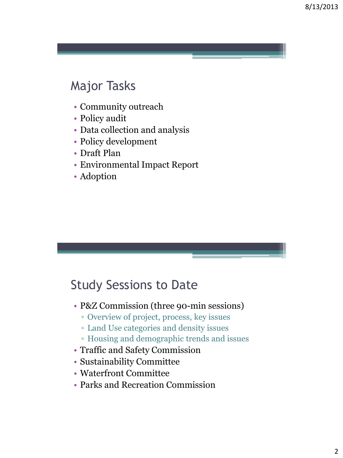### Major Tasks

- Community outreach
- Policy audit
- Data collection and analysis
- Policy development
- Draft Plan
- Environmental Impact Report
- Adoption

#### Study Sessions to Date

- P&Z Commission (three 90-min sessions)
	- Overview of project, process, key issues
	- Land Use categories and density issues
	- Housing and demographic trends and issues
- Traffic and Safety Commission
- Sustainability Committee
- Waterfront Committee
- Parks and Recreation Commission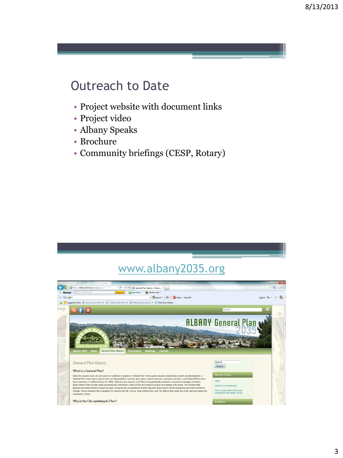#### Outreach to Date

- Project website with document links
- Project video
- Albany Speaks
- Brochure
- Community briefings (CESP, Rotary)

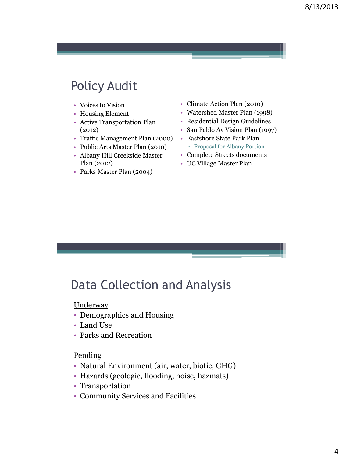## Policy Audit

- Voices to Vision
- Housing Element
- Active Transportation Plan (2012)
- Traffic Management Plan (2000)
- Public Arts Master Plan (2010)
- Albany Hill Creekside Master Plan (2012)
- Parks Master Plan (2004)
- Climate Action Plan (2010)
- Watershed Master Plan (1998)
- Residential Design Guidelines
- San Pablo Av Vision Plan (1997)
- Eastshore State Park Plan
	- Proposal for Albany Portion
- Complete Streets documents
- UC Village Master Plan

### Data Collection and Analysis

**Underway** 

- Demographics and Housing
- Land Use
- Parks and Recreation

#### Pending

- Natural Environment (air, water, biotic, GHG)
- Hazards (geologic, flooding, noise, hazmats)
- Transportation
- Community Services and Facilities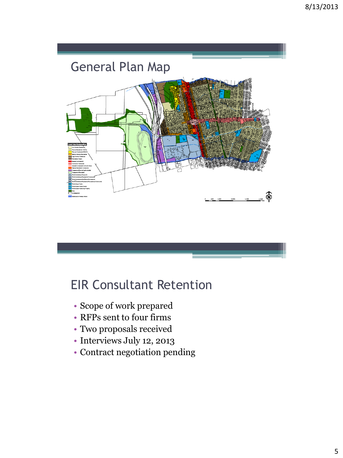

#### EIR Consultant Retention

- Scope of work prepared
- RFPs sent to four firms
- Two proposals received
- Interviews July 12, 2013
- Contract negotiation pending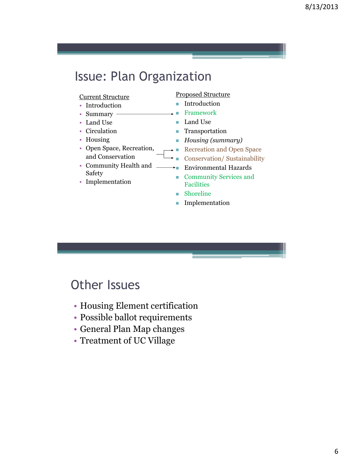### Issue: Plan Organization

#### Current Structure

- Introduction
- Summary -
- Land Use
- Circulation
- Housing
- Open Space, Recreation, and Conservation
- Community Health and Safety
- Implementation

#### Proposed Structure

- **Introduction**
- Framework
- Land Use
- **Transportation**
- *Housing (summary)*
- Recreation and Open Space
- Conservation/ Sustainability
- Environmental Hazards
- **Community Services and** Facilities
- **Shoreline**
- **Implementation**

#### Other Issues

- Housing Element certification
- Possible ballot requirements
- General Plan Map changes
- Treatment of UC Village